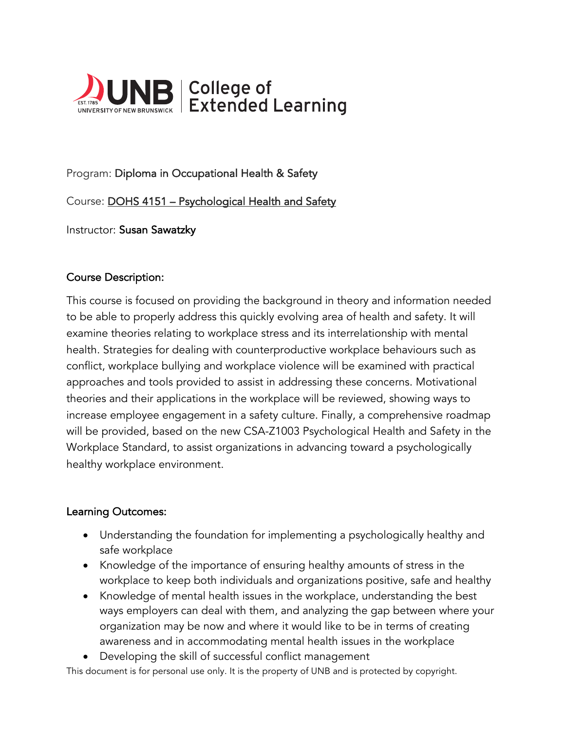

# Program: Diploma in Occupational Health & Safety

Course: DOHS 4151 – Psychological Health and Safety

Instructor: Susan Sawatzky

### Course Description:

This course is focused on providing the background in theory and information needed to be able to properly address this quickly evolving area of health and safety. It will examine theories relating to workplace stress and its interrelationship with mental health. Strategies for dealing with counterproductive workplace behaviours such as conflict, workplace bullying and workplace violence will be examined with practical approaches and tools provided to assist in addressing these concerns. Motivational theories and their applications in the workplace will be reviewed, showing ways to increase employee engagement in a safety culture. Finally, a comprehensive roadmap will be provided, based on the new CSA-Z1003 Psychological Health and Safety in the Workplace Standard, to assist organizations in advancing toward a psychologically healthy workplace environment.

### Learning Outcomes:

- Understanding the foundation for implementing a psychologically healthy and safe workplace
- Knowledge of the importance of ensuring healthy amounts of stress in the workplace to keep both individuals and organizations positive, safe and healthy
- Knowledge of mental health issues in the workplace, understanding the best ways employers can deal with them, and analyzing the gap between where your organization may be now and where it would like to be in terms of creating awareness and in accommodating mental health issues in the workplace
- Developing the skill of successful conflict management

This document is for personal use only. It is the property of UNB and is protected by copyright.